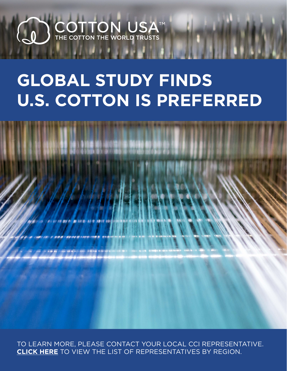## $\begin{array}{cl} \textbf{COTTON} & \textbf{USA}^\texttt{TM} \\ \textbf{THE COTTON THE WORD TRUSTS} \end{array}$  $\begin{pmatrix} 1 \ 1 \end{pmatrix}$

# **GLOBAL STUDY FINDS U.S. COTTON IS PREFERRED**



TO LEARN MORE, PLEASE CONTACT YOUR LOCAL CCI REPRESENTATIVE. **CLICK HERE** TO VIEW THE LIST OF REPRESENTATIVES BY REGION.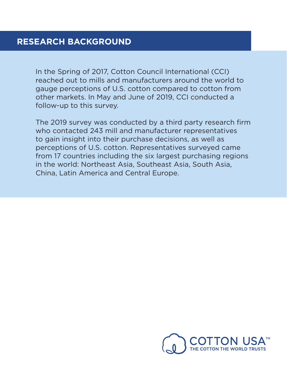In the Spring of 2017, Cotton Council International (CCI) reached out to mills and manufacturers around the world to gauge perceptions of U.S. cotton compared to cotton from other markets. In May and June of 2019, CCI conducted a follow-up to this survey.

The 2019 survey was conducted by a third party research firm who contacted 243 mill and manufacturer representatives to gain insight into their purchase decisions, as well as perceptions of U.S. cotton. Representatives surveyed came from 17 countries including the six largest purchasing regions in the world: Northeast Asia, Southeast Asia, South Asia, China, Latin America and Central Europe.

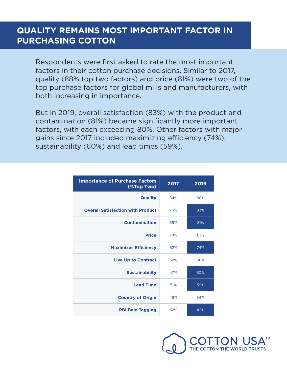#### **QUALITY REMAINS MOST IMPORTANT FACTOR IN PURCHASING COTTON**

Respondents were first asked to rate the most important factors in their cotton purchase decisions. Similar to 2017, quality (88% top two factors) and price (81%) were two of the top purchase factors for global mills and manufacturers, with both increasing in importance.

But in 2019, overall satisfaction (83%) with the product and contamination (81%) became significantly more important factors, with each exceeding 80%. Other factors with major gains since 2017 included maximizing efficiency (74%), sustainability (60%) and lead times (59%).

| <b>Importance of Purchase Factors</b><br>(%Top Two) | 2017 | 2019 |
|-----------------------------------------------------|------|------|
| <b>Quality</b>                                      | 84%  | 88%  |
| <b>Overall Satisfaction with Product</b>            | 73%  | 83%  |
| <b>Contamination</b>                                | 69%  | 81%  |
| <b>Price</b>                                        | 78%  | 81%  |
| <b>Maximizes Efficiency</b>                         | 62%  | 74%  |
| <b>Live Up to Contract</b>                          | 68%  | 66%  |
| <b>Sustainability</b>                               | 47%  | 60%  |
| <b>Lead Time</b>                                    | 51%  | 59%  |
| <b>Country of Origin</b>                            | 49%  | 54%  |
| <b>PBI Bale Tagging</b>                             | 32%  | 42%  |

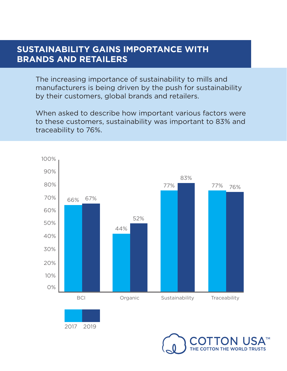#### **SUSTAINABILITY GAINS IMPORTANCE WITH BRANDS AND RETAILERS**

The increasing importance of sustainability to mills and manufacturers is being driven by the push for sustainability by their customers, global brands and retailers.

When asked to describe how important various factors were to these customers, sustainability was important to 83% and traceability to 76%.





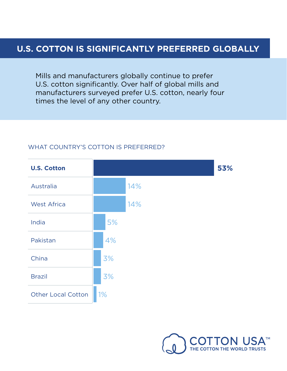#### **U.S. COTTON IS SIGNIFICANTLY PREFERRED GLOBALLY**

Mills and manufacturers globally continue to prefer U.S. cotton significantly. Over half of global mills and manufacturers surveyed prefer U.S. cotton, nearly four times the level of any other country.



#### WHAT COUNTRY'S COTTON IS PREFERRED?

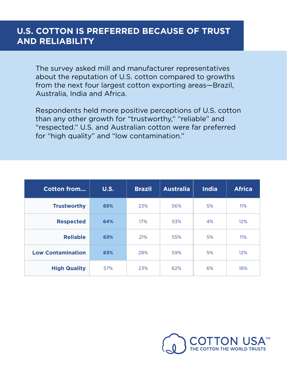### **U.S. COTTON IS PREFERRED BECAUSE OF TRUST AND RELIABILITY**

The survey asked mill and manufacturer representatives about the reputation of U.S. cotton compared to growths from the next four largest cotton exporting areas—Brazil, Australia, India and Africa.

Respondents held more positive perceptions of U.S. cotton than any other growth for "trustworthy," "reliable" and "respected." U.S. and Australian cotton were far preferred for "high quality" and "low contamination."

| <b>Cotton from</b>       | <b>U.S.</b> | <b>Brazil</b> | <b>Australia</b> | <b>India</b> | <b>Africa</b> |
|--------------------------|-------------|---------------|------------------|--------------|---------------|
| <b>Trustworthy</b>       | 65%         | 23%           | 56%              | 5%           | 11%           |
| <b>Respected</b>         | 64%         | 17%           | 53%              | 4%           | 12%           |
| <b>Reliable</b>          | 63%         | 21%           | 55%              | 5%           | 11%           |
| <b>Low Contamination</b> | 63%         | 28%           | 59%              | 5%           | 12%           |
| <b>High Quality</b>      | 57%         | 23%           | 62%              | 6%           | 18%           |